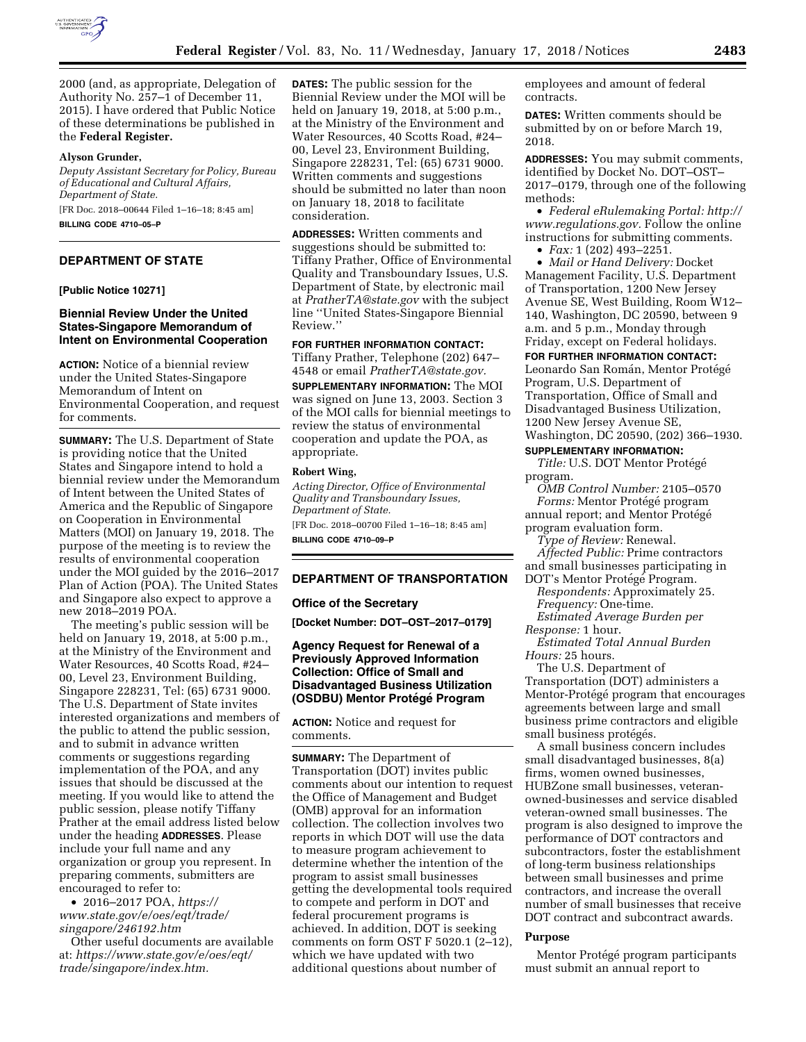

2000 (and, as appropriate, Delegation of Authority No. 257–1 of December 11, 2015). I have ordered that Public Notice of these determinations be published in the **Federal Register.** 

#### **Alyson Grunder,**

*Deputy Assistant Secretary for Policy, Bureau of Educational and Cultural Affairs, Department of State.* 

[FR Doc. 2018–00644 Filed 1–16–18; 8:45 am]

**BILLING CODE 4710–05–P** 

## **DEPARTMENT OF STATE**

#### **[Public Notice 10271]**

### **Biennial Review Under the United States-Singapore Memorandum of Intent on Environmental Cooperation**

**ACTION:** Notice of a biennial review under the United States-Singapore Memorandum of Intent on Environmental Cooperation, and request for comments.

**SUMMARY:** The U.S. Department of State is providing notice that the United States and Singapore intend to hold a biennial review under the Memorandum of Intent between the United States of America and the Republic of Singapore on Cooperation in Environmental Matters (MOI) on January 19, 2018. The purpose of the meeting is to review the results of environmental cooperation under the MOI guided by the 2016–2017 Plan of Action (POA). The United States and Singapore also expect to approve a new 2018–2019 POA.

The meeting's public session will be held on January 19, 2018, at 5:00 p.m., at the Ministry of the Environment and Water Resources, 40 Scotts Road, #24– 00, Level 23, Environment Building, Singapore 228231, Tel: (65) 6731 9000. The U.S. Department of State invites interested organizations and members of the public to attend the public session, and to submit in advance written comments or suggestions regarding implementation of the POA, and any issues that should be discussed at the meeting. If you would like to attend the public session, please notify Tiffany Prather at the email address listed below under the heading **ADDRESSES**. Please include your full name and any organization or group you represent. In preparing comments, submitters are encouraged to refer to:

• 2016–2017 POA, *[https://](https://www.state.gov/e/oes/eqt/trade/singapore/246192.htm) [www.state.gov/e/oes/eqt/trade/](https://www.state.gov/e/oes/eqt/trade/singapore/246192.htm)  [singapore/246192.htm](https://www.state.gov/e/oes/eqt/trade/singapore/246192.htm)* 

Other useful documents are available at: *[https://www.state.gov/e/oes/eqt/](https://www.state.gov/e/oes/eqt/trade/singapore/index.htm)  [trade/singapore/index.htm.](https://www.state.gov/e/oes/eqt/trade/singapore/index.htm)* 

**DATES:** The public session for the Biennial Review under the MOI will be held on January 19, 2018, at 5:00 p.m., at the Ministry of the Environment and Water Resources, 40 Scotts Road, #24– 00, Level 23, Environment Building, Singapore 228231, Tel: (65) 6731 9000. Written comments and suggestions should be submitted no later than noon on January 18, 2018 to facilitate consideration.

**ADDRESSES:** Written comments and suggestions should be submitted to: Tiffany Prather, Office of Environmental Quality and Transboundary Issues, U.S. Department of State, by electronic mail at *[PratherTA@state.gov](mailto:PratherTA@state.gov)* with the subject line ''United States-Singapore Biennial Review.''

**FOR FURTHER INFORMATION CONTACT:**  Tiffany Prather, Telephone (202) 647–

4548 or email *[PratherTA@state.gov.](mailto:PratherTA@state.gov)*  **SUPPLEMENTARY INFORMATION:** The MOI

was signed on June 13, 2003. Section 3 of the MOI calls for biennial meetings to review the status of environmental cooperation and update the POA, as appropriate.

#### **Robert Wing,**

*Acting Director, Office of Environmental Quality and Transboundary Issues, Department of State.* 

[FR Doc. 2018–00700 Filed 1–16–18; 8:45 am] **BILLING CODE 4710–09–P** 

#### **DEPARTMENT OF TRANSPORTATION**

#### **Office of the Secretary**

**[Docket Number: DOT–OST–2017–0179]** 

### **Agency Request for Renewal of a Previously Approved Information Collection: Office of Small and Disadvantaged Business Utilization (OSDBU) Mentor Prote´ge´ Program**

**ACTION:** Notice and request for comments.

**SUMMARY:** The Department of Transportation (DOT) invites public comments about our intention to request the Office of Management and Budget (OMB) approval for an information collection. The collection involves two reports in which DOT will use the data to measure program achievement to determine whether the intention of the program to assist small businesses getting the developmental tools required to compete and perform in DOT and federal procurement programs is achieved. In addition, DOT is seeking comments on form OST F 5020.1 (2–12), which we have updated with two additional questions about number of

employees and amount of federal contracts.

**DATES:** Written comments should be submitted by on or before March 19, 2018.

**ADDRESSES:** You may submit comments, identified by Docket No. DOT–OST– 2017–0179, through one of the following methods:

• *Federal eRulemaking Portal: [http://](http://www.regulations.gov)  [www.regulations.gov.](http://www.regulations.gov)* Follow the online instructions for submitting comments.

• *Fax:* 1 (202) 493–2251.

• *Mail or Hand Delivery:* Docket Management Facility, U.S. Department of Transportation, 1200 New Jersey Avenue SE, West Building, Room W12– 140, Washington, DC 20590, between 9 a.m. and 5 p.m., Monday through Friday, except on Federal holidays.

#### **FOR FURTHER INFORMATION CONTACT:**

Leonardo San Román, Mentor Protégé Program, U.S. Department of Transportation, Office of Small and Disadvantaged Business Utilization, 1200 New Jersey Avenue SE, Washington, DC 20590, (202) 366–1930.

#### **SUPPLEMENTARY INFORMATION:**

**Title: U.S. DOT Mentor Protégé** program.

*OMB Control Number:* 2105–0570 *Forms:* Mentor Protégé program annual report; and Mentor Protégé

program evaluation form.

*Type of Review:* Renewal. *Affected Public:* Prime contractors

and small businesses participating in

DOT's Mentor Protégé Program. *Respondents:* Approximately 25.

*Frequency:* One-time.

*Estimated Average Burden per Response:* 1 hour.

*Estimated Total Annual Burden Hours:* 25 hours.

The U.S. Department of Transportation (DOT) administers a Mentor-Protégé program that encourages agreements between large and small business prime contractors and eligible small business protégés.

A small business concern includes small disadvantaged businesses, 8(a) firms, women owned businesses, HUBZone small businesses, veteranowned-businesses and service disabled veteran-owned small businesses. The program is also designed to improve the performance of DOT contractors and subcontractors, foster the establishment of long-term business relationships between small businesses and prime contractors, and increase the overall number of small businesses that receive DOT contract and subcontract awards.

#### **Purpose**

Mentor Protégé program participants must submit an annual report to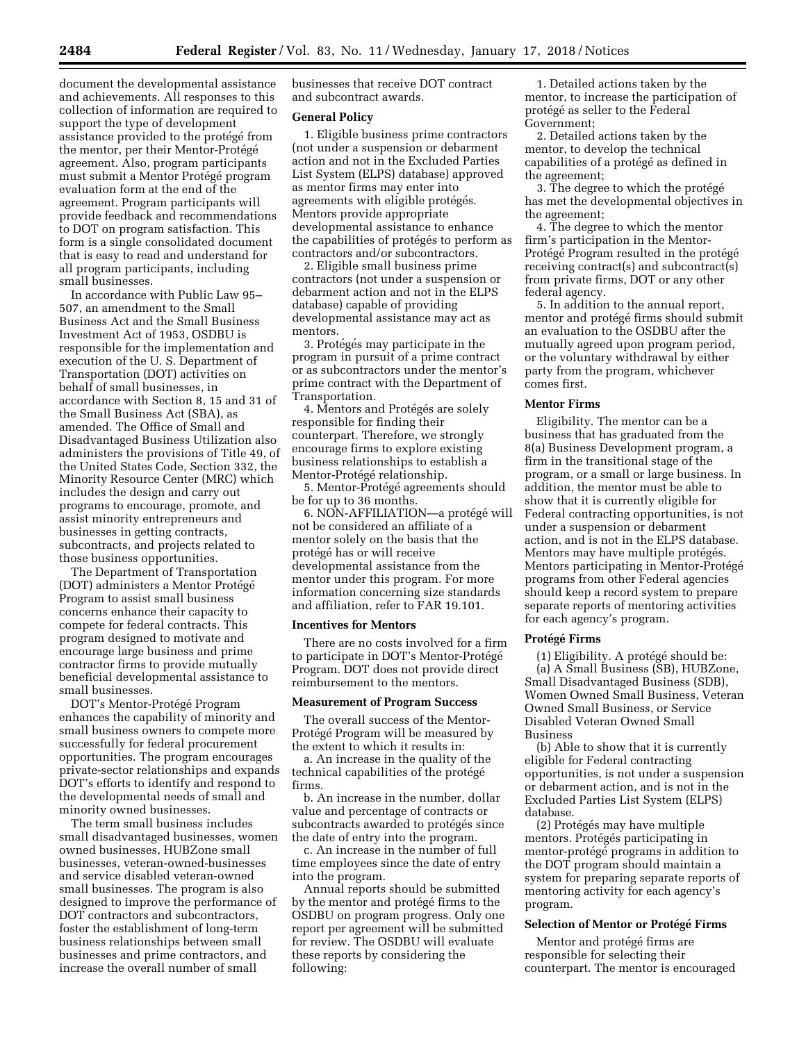document the developmental assistance and achievements. All responses to this collection of information are required to support the type of development assistance provided to the protégé from the mentor, per their Mentor-Protégé agreement. Also, program participants must submit a Mentor Protégé program evaluation form at the end of the agreement. Program participants will provide feedback and recommendations to DOT on program satisfaction. This form is a single consolidated document that is easy to read and understand for all program participants, including small businesses.

In accordance with Public Law 95– 507, an amendment to the Small Business Act and the Small Business Investment Act of 1953, OSDBU is responsible for the implementation and execution of the U. S. Department of Transportation (DOT) activities on behalf of small businesses, in accordance with Section 8, 15 and 31 of the Small Business Act (SBA), as amended. The Office of Small and Disadvantaged Business Utilization also administers the provisions of Title 49, of the United States Code, Section 332, the Minority Resource Center (MRC) which includes the design and carry out programs to encourage, promote, and assist minority entrepreneurs and businesses in getting contracts, subcontracts, and projects related to those business opportunities.

The Department of Transportation (DOT) administers a Mentor Protégé Program to assist small business concerns enhance their capacity to compete for federal contracts. This program designed to motivate and encourage large business and prime contractor firms to provide mutually beneficial developmental assistance to small businesses.

DOT's Mentor-Protégé Program enhances the capability of minority and small business owners to compete more successfully for federal procurement opportunities. The program encourages private-sector relationships and expands DOT's efforts to identify and respond to the developmental needs of small and minority owned businesses.

The term small business includes small disadvantaged businesses, women owned businesses, HUBZone small businesses, veteran-owned-businesses and service disabled veteran-owned small businesses. The program is also designed to improve the performance of DOT contractors and subcontractors, foster the establishment of long-term business relationships between small businesses and prime contractors, and increase the overall number of small

businesses that receive DOT contract and subcontract awards.

#### **General Policy**

1. Eligible business prime contractors (not under a suspension or debarment action and not in the Excluded Parties List System (ELPS) database) approved as mentor firms may enter into agreements with eligible protégés. Mentors provide appropriate developmental assistance to enhance the capabilities of protégés to perform as contractors and/or subcontractors.

2. Eligible small business prime contractors (not under a suspension or debarment action and not in the ELPS database) capable of providing developmental assistance may act as mentors.

3. Protégés may participate in the program in pursuit of a prime contract or as subcontractors under the mentor's prime contract with the Department of Transportation.

4. Mentors and Protégés are solely responsible for finding their counterpart. Therefore, we strongly encourage firms to explore existing business relationships to establish a Mentor-Protégé relationship.

5. Mentor-Protégé agreements should be for up to 36 months.

6. NON-AFFILIATION—a protégé will not be considered an affiliate of a mentor solely on the basis that the protégé has or will receive developmental assistance from the mentor under this program. For more information concerning size standards and affiliation, refer to FAR 19.101.

#### **Incentives for Mentors**

There are no costs involved for a firm to participate in DOT's Mentor-Protégé Program. DOT does not provide direct reimbursement to the mentors.

#### **Measurement of Program Success**

The overall success of the Mentor-Protégé Program will be measured by the extent to which it results in:

a. An increase in the quality of the technical capabilities of the protégé firms.

b. An increase in the number, dollar value and percentage of contracts or subcontracts awarded to protégés since the date of entry into the program.

c. An increase in the number of full time employees since the date of entry into the program.

Annual reports should be submitted by the mentor and protégé firms to the OSDBU on program progress. Only one report per agreement will be submitted for review. The OSDBU will evaluate these reports by considering the following:

1. Detailed actions taken by the mentor, to increase the participation of protégé as seller to the Federal Government;

2. Detailed actions taken by the mentor, to develop the technical capabilities of a protégé as defined in the agreement;

3. The degree to which the protégé has met the developmental objectives in the agreement;

4. The degree to which the mentor firm's participation in the Mentor-Protégé Program resulted in the protégé receiving contract(s) and subcontract(s) from private firms, DOT or any other federal agency.

5. In addition to the annual report, mentor and protégé firms should submit an evaluation to the OSDBU after the mutually agreed upon program period, or the voluntary withdrawal by either party from the program, whichever comes first.

#### **Mentor Firms**

Eligibility. The mentor can be a business that has graduated from the 8(a) Business Development program, a firm in the transitional stage of the program, or a small or large business. In addition, the mentor must be able to show that it is currently eligible for Federal contracting opportunities, is not under a suspension or debarment action, and is not in the ELPS database. Mentors may have multiple protégés. Mentors participating in Mentor-Protégé programs from other Federal agencies should keep a record system to prepare separate reports of mentoring activities for each agency's program.

### **Prote´ge´ Firms**

 $(1)$  Eligibility. A protégé should be: (a) A Small Business (SB), HUBZone, Small Disadvantaged Business (SDB), Women Owned Small Business, Veteran Owned Small Business, or Service Disabled Veteran Owned Small Business

(b) Able to show that it is currently eligible for Federal contracting opportunities, is not under a suspension or debarment action, and is not in the Excluded Parties List System (ELPS) database.

(2) Protégés may have multiple mentors. Protégés participating in mentor-protégé programs in addition to the DOT program should maintain a system for preparing separate reports of mentoring activity for each agency's program.

### **Selection of Mentor or Protégé Firms**

Mentor and protégé firms are responsible for selecting their counterpart. The mentor is encouraged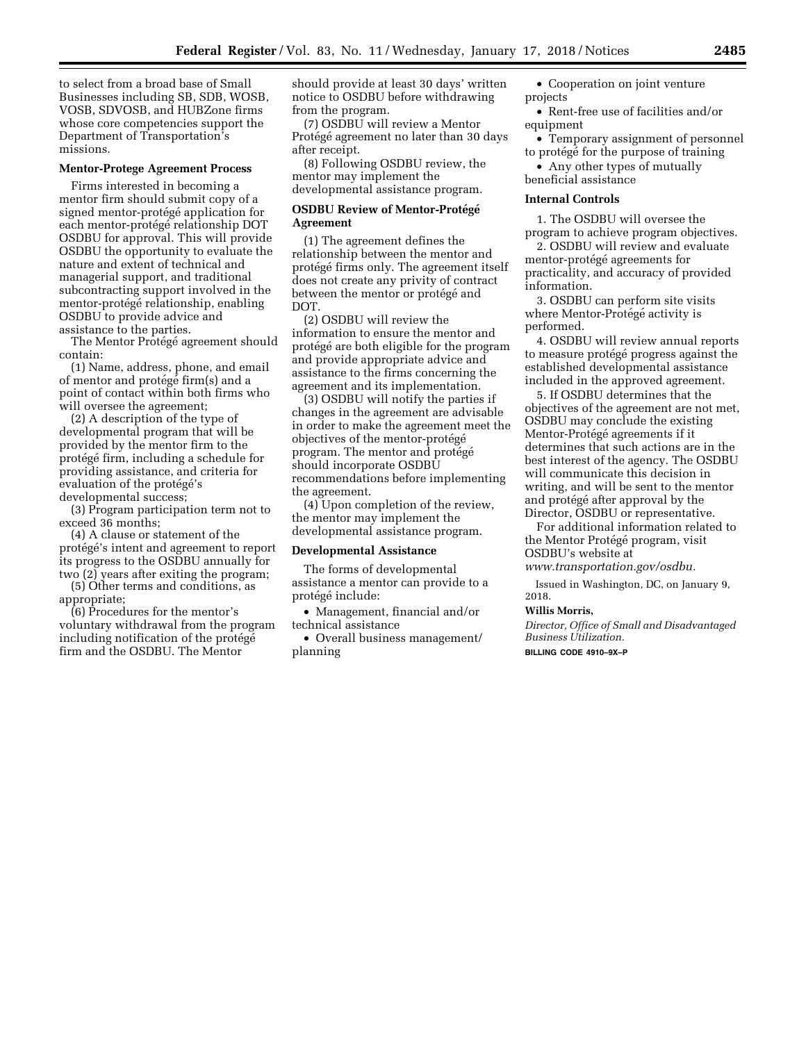to select from a broad base of Small Businesses including SB, SDB, WOSB, VOSB, SDVOSB, and HUBZone firms whose core competencies support the Department of Transportation's missions.

#### **Mentor-Protege Agreement Process**

Firms interested in becoming a mentor firm should submit copy of a signed mentor-protégé application for each mentor-protégé relationship DOT OSDBU for approval. This will provide OSDBU the opportunity to evaluate the nature and extent of technical and managerial support, and traditional subcontracting support involved in the mentor-protégé relationship, enabling OSDBU to provide advice and assistance to the parties.

The Mentor Protégé agreement should contain:

(1) Name, address, phone, and email of mentor and protégé firm(s) and a point of contact within both firms who will oversee the agreement;

(2) A description of the type of developmental program that will be provided by the mentor firm to the protégé firm, including a schedule for providing assistance, and criteria for evaluation of the protégé's developmental success;

(3) Program participation term not to exceed 36 months;

(4) A clause or statement of the protégé's intent and agreement to report its progress to the OSDBU annually for two (2) years after exiting the program;

(5) Other terms and conditions, as appropriate;

(6) Procedures for the mentor's voluntary withdrawal from the program including notification of the protégé firm and the OSDBU. The Mentor

should provide at least 30 days' written notice to OSDBU before withdrawing from the program.

(7) OSDBU will review a Mentor Protégé agreement no later than 30 days after receipt.

(8) Following OSDBU review, the mentor may implement the developmental assistance program.

### **OSDBU Review of Mentor-Protégé Agreement**

(1) The agreement defines the relationship between the mentor and protégé firms only. The agreement itself does not create any privity of contract between the mentor or protégé and DOT.

(2) OSDBU will review the information to ensure the mentor and protégé are both eligible for the program and provide appropriate advice and assistance to the firms concerning the agreement and its implementation.

(3) OSDBU will notify the parties if changes in the agreement are advisable in order to make the agreement meet the objectives of the mentor-protégé program. The mentor and protégé should incorporate OSDBU recommendations before implementing the agreement.

(4) Upon completion of the review, the mentor may implement the developmental assistance program.

#### **Developmental Assistance**

The forms of developmental assistance a mentor can provide to a protégé include:

• Management, financial and/or technical assistance

• Overall business management/ planning

- Cooperation on joint venture projects
- Rent-free use of facilities and/or equipment
- Temporary assignment of personnel to protégé for the purpose of training

• Any other types of mutually beneficial assistance

#### **Internal Controls**

1. The OSDBU will oversee the program to achieve program objectives.

2. OSDBU will review and evaluate mentor-protégé agreements for practicality, and accuracy of provided information.

3. OSDBU can perform site visits where Mentor-Protégé activity is performed.

4. OSDBU will review annual reports to measure protégé progress against the established developmental assistance included in the approved agreement.

5. If OSDBU determines that the objectives of the agreement are not met, OSDBU may conclude the existing Mentor-Protégé agreements if it determines that such actions are in the best interest of the agency. The OSDBU will communicate this decision in writing, and will be sent to the mentor and protégé after approval by the Director, OSDBU or representative.

For additional information related to the Mentor Protégé program, visit OSDBU's website at

*[www.transportation.gov/osdbu.](http://www.transportation.gov/osdbu)* 

Issued in Washington, DC, on January 9, 2018.

#### **Willis Morris,**

*Director, Office of Small and Disadvantaged Business Utilization.* 

**BILLING CODE 4910–9X–P**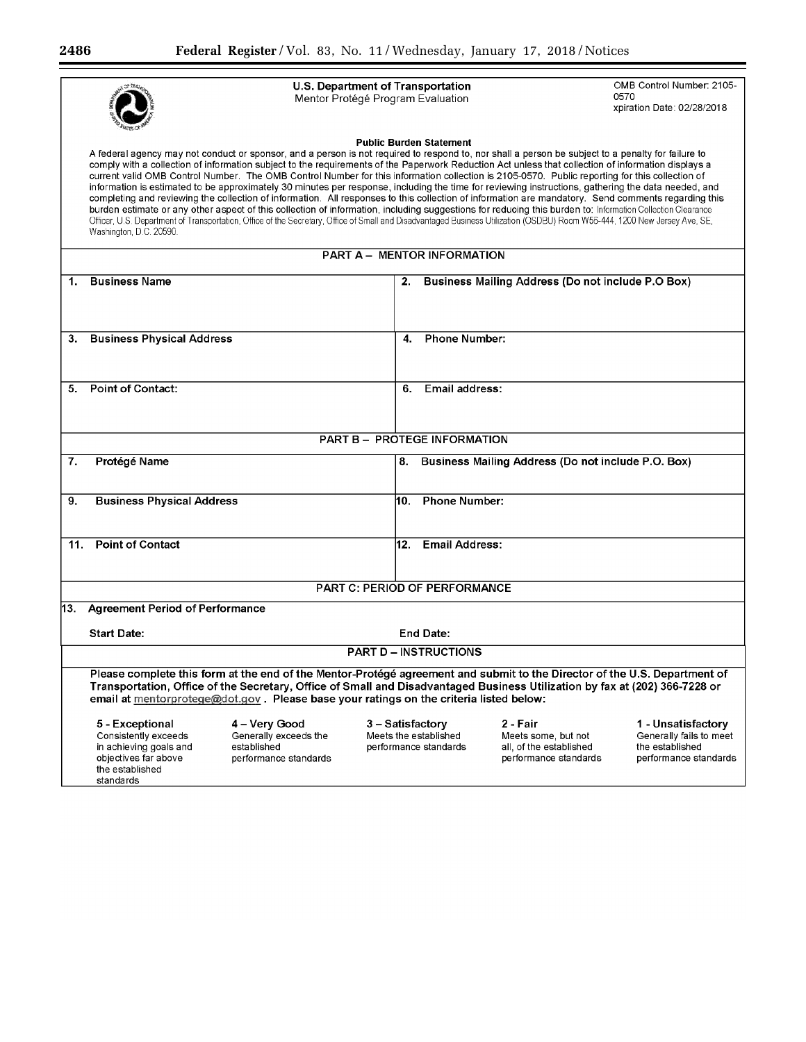|     |                                                                                                                                                                                                                                                                                                                                                                                                                                                                                                                                                                                                                                                                                                                                                                                                                                                                                                                                                                                                                                                                                                                                                                                    | U.S. Department of Transportation<br>Mentor Protégé Program Evaluation |                       |                                                                                     | OMB Control Number: 2105-<br>0570<br>xpiration Date: 02/28/2018                           |  |
|-----|------------------------------------------------------------------------------------------------------------------------------------------------------------------------------------------------------------------------------------------------------------------------------------------------------------------------------------------------------------------------------------------------------------------------------------------------------------------------------------------------------------------------------------------------------------------------------------------------------------------------------------------------------------------------------------------------------------------------------------------------------------------------------------------------------------------------------------------------------------------------------------------------------------------------------------------------------------------------------------------------------------------------------------------------------------------------------------------------------------------------------------------------------------------------------------|------------------------------------------------------------------------|-----------------------|-------------------------------------------------------------------------------------|-------------------------------------------------------------------------------------------|--|
|     | <b>Public Burden Statement</b><br>A federal agency may not conduct or sponsor, and a person is not required to respond to, nor shall a person be subject to a penalty for failure to<br>comply with a collection of information subject to the requirements of the Paperwork Reduction Act unless that collection of information displays a<br>current valid OMB Control Number. The OMB Control Number for this information collection is 2105-0570. Public reporting for this collection of<br>information is estimated to be approximately 30 minutes per response, including the time for reviewing instructions, gathering the data needed, and<br>completing and reviewing the collection of information. All responses to this collection of information are mandatory. Send comments regarding this<br>burden estimate or any other aspect of this collection of information, including suggestions for reducing this burden to: Information Collection Clearance<br>Officer, U.S. Department of Transportation, Office of the Secretary, Office of Small and Disadvantaged Business Utilization (OSDBU) Room W56-444, 1200 New Jersey Ave, SE,<br>Washington, D.C. 20590. |                                                                        |                       |                                                                                     |                                                                                           |  |
|     |                                                                                                                                                                                                                                                                                                                                                                                                                                                                                                                                                                                                                                                                                                                                                                                                                                                                                                                                                                                                                                                                                                                                                                                    | <b>PART A - MENTOR INFORMATION</b>                                     |                       |                                                                                     |                                                                                           |  |
| 1.  | <b>Business Name</b>                                                                                                                                                                                                                                                                                                                                                                                                                                                                                                                                                                                                                                                                                                                                                                                                                                                                                                                                                                                                                                                                                                                                                               | 2.                                                                     |                       | <b>Business Mailing Address (Do not include P.O Box)</b>                            |                                                                                           |  |
| 3.  | <b>Business Physical Address</b>                                                                                                                                                                                                                                                                                                                                                                                                                                                                                                                                                                                                                                                                                                                                                                                                                                                                                                                                                                                                                                                                                                                                                   | 4.                                                                     | <b>Phone Number:</b>  |                                                                                     |                                                                                           |  |
| 5.  | Point of Contact:                                                                                                                                                                                                                                                                                                                                                                                                                                                                                                                                                                                                                                                                                                                                                                                                                                                                                                                                                                                                                                                                                                                                                                  | 6.                                                                     | Email address:        |                                                                                     |                                                                                           |  |
|     |                                                                                                                                                                                                                                                                                                                                                                                                                                                                                                                                                                                                                                                                                                                                                                                                                                                                                                                                                                                                                                                                                                                                                                                    | <b>PART B - PROTEGE INFORMATION</b>                                    |                       |                                                                                     |                                                                                           |  |
| 7.  | Protégé Name                                                                                                                                                                                                                                                                                                                                                                                                                                                                                                                                                                                                                                                                                                                                                                                                                                                                                                                                                                                                                                                                                                                                                                       |                                                                        |                       | 8. Business Mailing Address (Do not include P.O. Box)                               |                                                                                           |  |
| 9.  | <b>Business Physical Address</b>                                                                                                                                                                                                                                                                                                                                                                                                                                                                                                                                                                                                                                                                                                                                                                                                                                                                                                                                                                                                                                                                                                                                                   |                                                                        | 10. Phone Number:     |                                                                                     |                                                                                           |  |
| 11. | <b>Point of Contact</b>                                                                                                                                                                                                                                                                                                                                                                                                                                                                                                                                                                                                                                                                                                                                                                                                                                                                                                                                                                                                                                                                                                                                                            |                                                                        | 12. Email Address:    |                                                                                     |                                                                                           |  |
|     |                                                                                                                                                                                                                                                                                                                                                                                                                                                                                                                                                                                                                                                                                                                                                                                                                                                                                                                                                                                                                                                                                                                                                                                    | <b>PART C: PERIOD OF PERFORMANCE</b>                                   |                       |                                                                                     |                                                                                           |  |
| 13. | <b>Agreement Period of Performance</b>                                                                                                                                                                                                                                                                                                                                                                                                                                                                                                                                                                                                                                                                                                                                                                                                                                                                                                                                                                                                                                                                                                                                             |                                                                        |                       |                                                                                     |                                                                                           |  |
|     | <b>Start Date:</b>                                                                                                                                                                                                                                                                                                                                                                                                                                                                                                                                                                                                                                                                                                                                                                                                                                                                                                                                                                                                                                                                                                                                                                 |                                                                        | <b>End Date:</b>      |                                                                                     |                                                                                           |  |
|     |                                                                                                                                                                                                                                                                                                                                                                                                                                                                                                                                                                                                                                                                                                                                                                                                                                                                                                                                                                                                                                                                                                                                                                                    | <b>PART D - INSTRUCTIONS</b>                                           |                       |                                                                                     |                                                                                           |  |
|     | Please complete this form at the end of the Mentor-Protégé agreement and submit to the Director of the U.S. Department of<br>Transportation, Office of the Secretary, Office of Small and Disadvantaged Business Utilization by fax at (202) 366-7228 or<br>email at mentorprotege@dot.gov. Please base your ratings on the criteria listed below:                                                                                                                                                                                                                                                                                                                                                                                                                                                                                                                                                                                                                                                                                                                                                                                                                                 |                                                                        |                       |                                                                                     |                                                                                           |  |
|     | 5 - Exceptional<br>4 – Very Good<br>Consistently exceeds<br>Generally exceeds the<br>in achieving goals and<br>established<br>objectives far above<br>performance standards<br>the established<br>standards                                                                                                                                                                                                                                                                                                                                                                                                                                                                                                                                                                                                                                                                                                                                                                                                                                                                                                                                                                        | 3 – Satisfactory<br>Meets the established                              | performance standards | 2 - Fair<br>Meets some, but not<br>all, of the established<br>performance standards | 1 - Unsatisfactory<br>Generally fails to meet<br>the established<br>performance standards |  |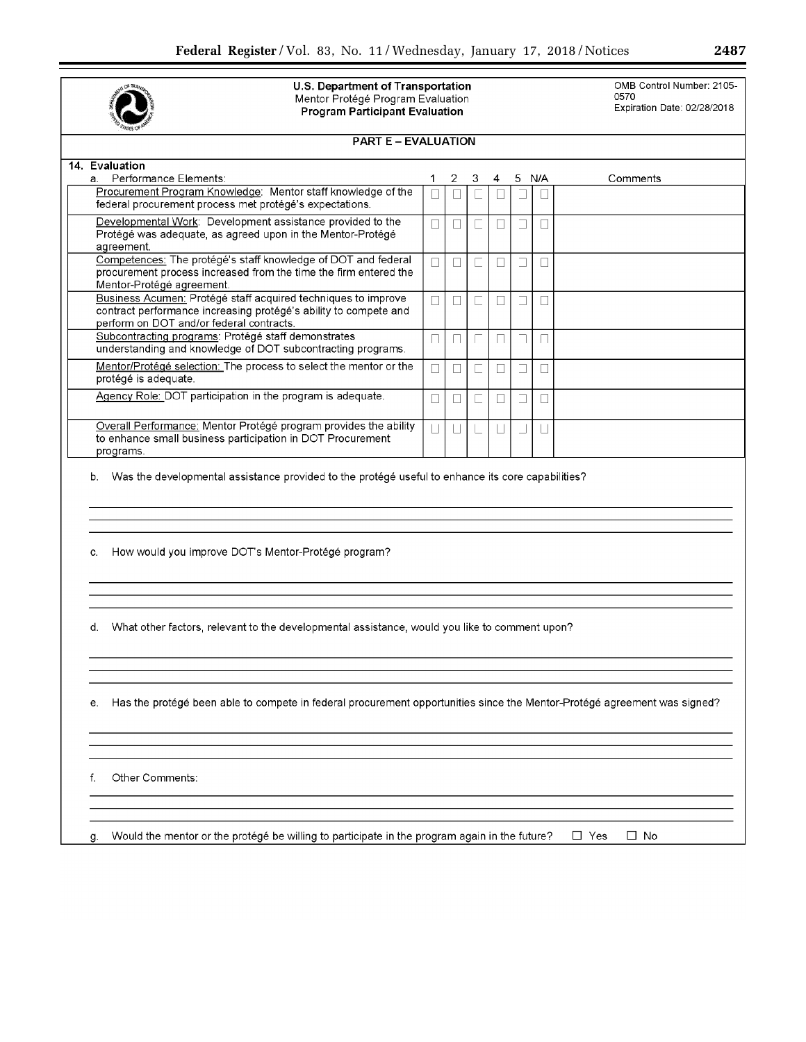

U.S. Department of Transportation OMB Control Number: 2105-<br>Mentor Protégé Program Evaluation 0570<br>Program Participant Evaluation Expiration Date: 02/28/2018 U.S. Department of Transportation<br>
Mentor Protégé Program Evaluation<br>
Program Participant Evaluation<br>
Program Participant Evaluation<br>
Program Participant Evaluation **Program Participant Evaluation** 

| <b>PART E - EVALUATION</b>                                                                                                                                                    |        |        |   |   |        |                 |                         |
|-------------------------------------------------------------------------------------------------------------------------------------------------------------------------------|--------|--------|---|---|--------|-----------------|-------------------------|
| 14. Evaluation                                                                                                                                                                |        |        |   |   |        |                 |                         |
| a. Performance Elements:<br>Procurement Program Knowledge: Mentor staff knowledge of the<br>federal procurement process met protégé's expectations.                           | 1      | 2      | 3 | 4 |        | 5 N/A           | Comments                |
| Developmental Work: Development assistance provided to the                                                                                                                    | $\Box$ | $\Box$ |   |   |        | $\Box$          |                         |
| Protégé was adequate, as agreed upon in the Mentor-Protégé<br>agreement.                                                                                                      |        |        |   |   |        |                 |                         |
| Competences: The protégé's staff knowledge of DOT and federal<br>procurement process increased from the time the firm entered the<br>Mentor-Protégé agreement.                | $\Box$ | П      |   |   | $\Box$ | П               |                         |
| Business Acumen: Protégé staff acquired techniques to improve<br>contract performance increasing protégé's ability to compete and<br>perform on DOT and/or federal contracts. | П      | $\Box$ |   |   |        | $\vert \vert$   |                         |
| Subcontracting programs: Protégé staff demonstrates<br>understanding and knowledge of DOT subcontracting programs.                                                            | П      |        |   |   |        |                 |                         |
| Mentor/Protégé selection: The process to select the mentor or the<br>protégé is adequate.                                                                                     | П      | $\Box$ |   |   |        | П               |                         |
| Agency Role: DOT participation in the program is adequate.                                                                                                                    | $\Box$ | П      |   |   |        | П               |                         |
| Overall Performance: Mentor Protégé program provides the ability<br>to enhance small business participation in DOT Procurement<br>programs.                                   | $\Box$ | $\Box$ |   |   |        | $\vert \ \vert$ |                         |
| How would you improve DOT's Mentor-Protégé program?<br>C.                                                                                                                     |        |        |   |   |        |                 |                         |
|                                                                                                                                                                               |        |        |   |   |        |                 |                         |
| What other factors, relevant to the developmental assistance, would you like to comment upon?                                                                                 |        |        |   |   |        |                 |                         |
| Has the protégé been able to compete in federal procurement opportunities since the Mentor-Protégé agreement was signed?<br>е.                                                |        |        |   |   |        |                 |                         |
| Other Comments:<br>f.                                                                                                                                                         |        |        |   |   |        |                 |                         |
| Would the mentor or the protégé be willing to participate in the program again in the future?                                                                                 |        |        |   |   |        |                 | $\Box$ Yes<br>$\Box$ No |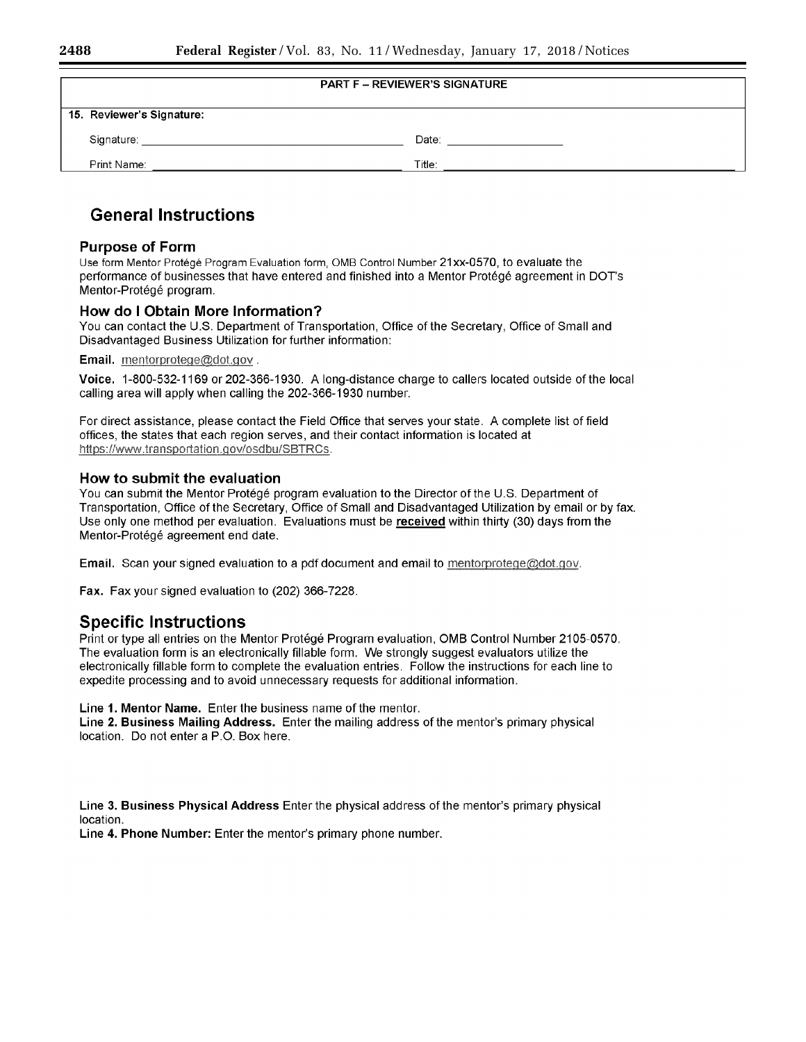| <b>PART F - REVIEWER'S SIGNATURE</b> |        |  |
|--------------------------------------|--------|--|
| 15. Reviewer's Signature:            |        |  |
| Signature:                           | Date:  |  |
| Print Name:                          | Title: |  |

# General Instructions

# Purpose of Form

Use form Mentor Protege Program Evaluation form, OMB Control Number 21 xx-0570, to evaluate the performance of businesses that have entered and finished into a Mentor Protege agreement in DOT's Mentor-Protégé program.

# How do I Obtain More Information?

You can contact the U.S. Department of Transportation, Office of the Secretary, Office of Small and Disadvantaged Business Utilization for further information:

Email. mentorprotege@dot.gov.

Voice. 1-800-532-1169 or 202-366-1930. A long-distance charge to callers located outside of the local calling area will apply when calling the 202-366-1930 number.

For direct assistance, please contact the Field Office that serves your state. A complete list of field offices, the states that each region serves, and their contact information is located at https://www.transportation.gov/osdbu/SBTRCs.

# How to submit the evaluation

You can submit the Mentor Protégé program evaluation to the Director of the U.S. Department of Transportation, Office of the Secretary, Office of Small and Disadvantaged Utilization by email or by fax. Use only one method per evaluation. Evaluations must be received within thirty (30) days from the Mentor-Protégé agreement end date.

Email. Scan your signed evaluation to a pdf document and email to mentorprotege@dot.gov.

Fax. Fax your signed evaluation to (202) 366-7228.

# Specific Instructions

Print or type all entries on the Mentor Protégé Program evaluation, OMB Control Number 2105-0570. The evaluation form is an electronically tillable form. We strongly suggest evaluators utilize the electronically fillable form to complete the evaluation entries. Follow the instructions for each line to expedite processing and to avoid unnecessary requests for additional information.

Line 1. Mentor Name. Enter the business name of the mentor.

Line 2. Business Mailing Address. Enter the mailing address of the mentor's primary physical location. Do not enter a P.O. Box here.

Line 3. Business Physical Address Enter the physical address ofthe mentor's primary physical location.

Line 4. Phone Number: Enter the mentor's primary phone number.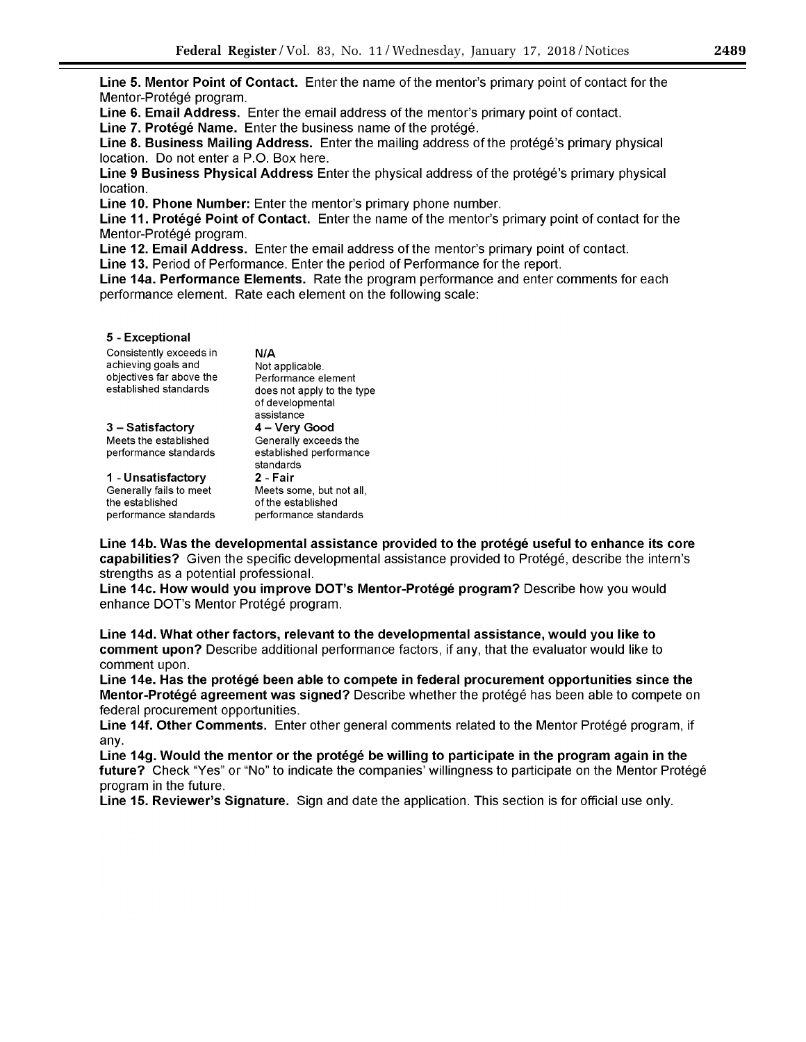Line 5. Mentor Point of Contact. Enter the name of the mentor's primary point of contact for the Mentor-Protégé program.

Line 6. Email Address. Enter the email address of the mentor's primary point of contact.

Line 7. Protégé Name. Enter the business name of the protégé.

Line 8. Business Mailing Address. Enter the mailing address of the protege's primary physical location. Do not enter a P.O. Box here.

Line 9 Business Physical Address Enter the physical address of the protégé's primary physical location.

Line 10. Phone Number: Enter the mentor's primary phone number.

Line 11. Protégé Point of Contact. Enter the name of the mentor's primary point of contact for the Mentor-Protégé program.

Line 12. Email Address. Enter the email address of the mentor's primary point of contact.

Line 13. Period of Performance. Enter the period of Performance for the report.

Line 14a. Performance Elements. Rate the program performance and enter comments for each performance element. Rate each element on the following scale:

### 5 - Exceptional

| Consistently exceeds in<br>achieving goals and<br>objectives far above the | N/A<br>Not applicable.                                                |
|----------------------------------------------------------------------------|-----------------------------------------------------------------------|
| established standards                                                      | Performance element<br>does not apply to the type<br>of developmental |
|                                                                            | assistance                                                            |
| 3 – Satisfactory                                                           | 4 – Very Good                                                         |
| Meets the established                                                      | Generally exceeds the                                                 |
| performance standards                                                      | established performance                                               |
|                                                                            | standards                                                             |
| 1 - Unsatisfactorv                                                         | 2 - Fair                                                              |
| Generally fails to meet                                                    | Meets some, but not all,                                              |
| the established                                                            | of the established                                                    |
| performance standards                                                      | performance standards                                                 |

Line 14b. Was the developmental assistance provided to the protege useful to enhance its core capabilities? Given the specific developmental assistance provided to Protege, describe the intern's strengths as a potential professional.

Line 14c. How would you improve DOT's Mentor-Protege program? Describe how you would enhance DOT's Mentor Protégé program.

Line 14d. What other factors, relevant to the developmental assistance, would you like to comment upon? Describe additional performance factors, if any, that the evaluator would like to comment upon.

Line 14e. Has the protégé been able to compete in federal procurement opportunities since the Mentor-Protégé agreement was signed? Describe whether the protégé has been able to compete on federal procurement opportunities.

Line 14f. Other Comments. Enter other general comments related to the Mentor Protégé program, if any.

Line 14g. Would the mentor or the protégé be willing to participate in the program again in the future? Check "Yes" or "No" to indicate the companies' willingness to participate on the Mentor Protégé program in the future.

Line 15. Reviewer's Signature. Sign and date the application. This section is for official use only.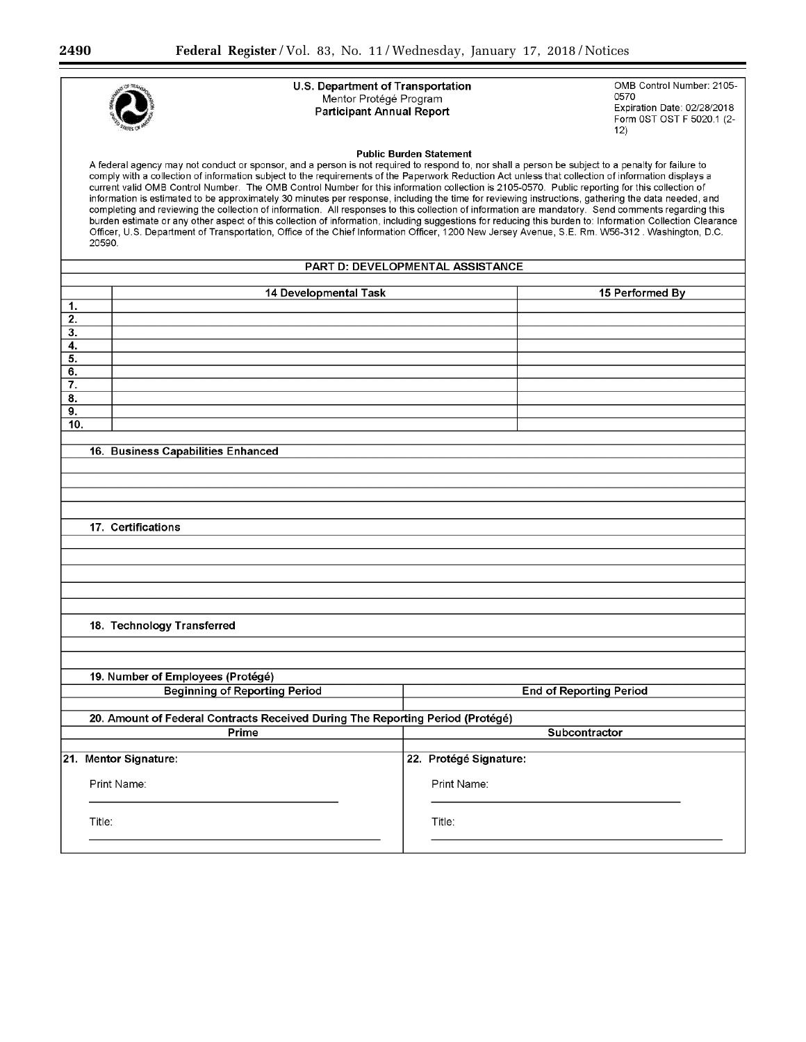|                        | U.S. Department of Transportation<br>OMB Control Number: 2105-<br>0570<br>Mentor Protégé Program<br>Expiration Date: 02/28/2018<br><b>Participant Annual Report</b><br>Form 0ST OST F 5020.1 (2-<br>12)<br><b>Public Burden Statement</b><br>A federal agency may not conduct or sponsor, and a person is not required to respond to, nor shall a person be subject to a penalty for failure to<br>comply with a collection of information subject to the requirements of the Paperwork Reduction Act unless that collection of information displays a<br>current valid OMB Control Number. The OMB Control Number for this information collection is 2105-0570. Public reporting for this collection of<br>information is estimated to be approximately 30 minutes per response, including the time for reviewing instructions, gathering the data needed, and<br>completing and reviewing the collection of information. All responses to this collection of information are mandatory. Send comments regarding this<br>burden estimate or any other aspect of this collection of information, including suggestions for reducing this burden to: Information Collection Clearance<br>Officer, U.S. Department of Transportation, Office of the Chief Information Officer, 1200 New Jersey Avenue, S.E. Rm. W56-312 . Washington, D.C.<br>20590. |                                  |                 |  |  |  |
|------------------------|----------------------------------------------------------------------------------------------------------------------------------------------------------------------------------------------------------------------------------------------------------------------------------------------------------------------------------------------------------------------------------------------------------------------------------------------------------------------------------------------------------------------------------------------------------------------------------------------------------------------------------------------------------------------------------------------------------------------------------------------------------------------------------------------------------------------------------------------------------------------------------------------------------------------------------------------------------------------------------------------------------------------------------------------------------------------------------------------------------------------------------------------------------------------------------------------------------------------------------------------------------------------------------------------------------------------------------------------------|----------------------------------|-----------------|--|--|--|
|                        |                                                                                                                                                                                                                                                                                                                                                                                                                                                                                                                                                                                                                                                                                                                                                                                                                                                                                                                                                                                                                                                                                                                                                                                                                                                                                                                                                    | PART D: DEVELOPMENTAL ASSISTANCE |                 |  |  |  |
|                        | 14 Developmental Task                                                                                                                                                                                                                                                                                                                                                                                                                                                                                                                                                                                                                                                                                                                                                                                                                                                                                                                                                                                                                                                                                                                                                                                                                                                                                                                              |                                  | 15 Performed By |  |  |  |
| 1.                     |                                                                                                                                                                                                                                                                                                                                                                                                                                                                                                                                                                                                                                                                                                                                                                                                                                                                                                                                                                                                                                                                                                                                                                                                                                                                                                                                                    |                                  |                 |  |  |  |
| 2.<br>3.               |                                                                                                                                                                                                                                                                                                                                                                                                                                                                                                                                                                                                                                                                                                                                                                                                                                                                                                                                                                                                                                                                                                                                                                                                                                                                                                                                                    |                                  |                 |  |  |  |
| 4.                     |                                                                                                                                                                                                                                                                                                                                                                                                                                                                                                                                                                                                                                                                                                                                                                                                                                                                                                                                                                                                                                                                                                                                                                                                                                                                                                                                                    |                                  |                 |  |  |  |
| 5.                     |                                                                                                                                                                                                                                                                                                                                                                                                                                                                                                                                                                                                                                                                                                                                                                                                                                                                                                                                                                                                                                                                                                                                                                                                                                                                                                                                                    |                                  |                 |  |  |  |
| 6.                     |                                                                                                                                                                                                                                                                                                                                                                                                                                                                                                                                                                                                                                                                                                                                                                                                                                                                                                                                                                                                                                                                                                                                                                                                                                                                                                                                                    |                                  |                 |  |  |  |
| 7.<br>8.               |                                                                                                                                                                                                                                                                                                                                                                                                                                                                                                                                                                                                                                                                                                                                                                                                                                                                                                                                                                                                                                                                                                                                                                                                                                                                                                                                                    |                                  |                 |  |  |  |
| $\overline{9}$ .       |                                                                                                                                                                                                                                                                                                                                                                                                                                                                                                                                                                                                                                                                                                                                                                                                                                                                                                                                                                                                                                                                                                                                                                                                                                                                                                                                                    |                                  |                 |  |  |  |
| 10.                    |                                                                                                                                                                                                                                                                                                                                                                                                                                                                                                                                                                                                                                                                                                                                                                                                                                                                                                                                                                                                                                                                                                                                                                                                                                                                                                                                                    |                                  |                 |  |  |  |
|                        |                                                                                                                                                                                                                                                                                                                                                                                                                                                                                                                                                                                                                                                                                                                                                                                                                                                                                                                                                                                                                                                                                                                                                                                                                                                                                                                                                    |                                  |                 |  |  |  |
|                        | 16. Business Capabilities Enhanced                                                                                                                                                                                                                                                                                                                                                                                                                                                                                                                                                                                                                                                                                                                                                                                                                                                                                                                                                                                                                                                                                                                                                                                                                                                                                                                 |                                  |                 |  |  |  |
|                        |                                                                                                                                                                                                                                                                                                                                                                                                                                                                                                                                                                                                                                                                                                                                                                                                                                                                                                                                                                                                                                                                                                                                                                                                                                                                                                                                                    |                                  |                 |  |  |  |
|                        |                                                                                                                                                                                                                                                                                                                                                                                                                                                                                                                                                                                                                                                                                                                                                                                                                                                                                                                                                                                                                                                                                                                                                                                                                                                                                                                                                    |                                  |                 |  |  |  |
|                        |                                                                                                                                                                                                                                                                                                                                                                                                                                                                                                                                                                                                                                                                                                                                                                                                                                                                                                                                                                                                                                                                                                                                                                                                                                                                                                                                                    |                                  |                 |  |  |  |
|                        | 17. Certifications                                                                                                                                                                                                                                                                                                                                                                                                                                                                                                                                                                                                                                                                                                                                                                                                                                                                                                                                                                                                                                                                                                                                                                                                                                                                                                                                 |                                  |                 |  |  |  |
|                        |                                                                                                                                                                                                                                                                                                                                                                                                                                                                                                                                                                                                                                                                                                                                                                                                                                                                                                                                                                                                                                                                                                                                                                                                                                                                                                                                                    |                                  |                 |  |  |  |
|                        |                                                                                                                                                                                                                                                                                                                                                                                                                                                                                                                                                                                                                                                                                                                                                                                                                                                                                                                                                                                                                                                                                                                                                                                                                                                                                                                                                    |                                  |                 |  |  |  |
|                        |                                                                                                                                                                                                                                                                                                                                                                                                                                                                                                                                                                                                                                                                                                                                                                                                                                                                                                                                                                                                                                                                                                                                                                                                                                                                                                                                                    |                                  |                 |  |  |  |
|                        |                                                                                                                                                                                                                                                                                                                                                                                                                                                                                                                                                                                                                                                                                                                                                                                                                                                                                                                                                                                                                                                                                                                                                                                                                                                                                                                                                    |                                  |                 |  |  |  |
|                        |                                                                                                                                                                                                                                                                                                                                                                                                                                                                                                                                                                                                                                                                                                                                                                                                                                                                                                                                                                                                                                                                                                                                                                                                                                                                                                                                                    |                                  |                 |  |  |  |
|                        |                                                                                                                                                                                                                                                                                                                                                                                                                                                                                                                                                                                                                                                                                                                                                                                                                                                                                                                                                                                                                                                                                                                                                                                                                                                                                                                                                    |                                  |                 |  |  |  |
|                        | 18. Technology Transferred                                                                                                                                                                                                                                                                                                                                                                                                                                                                                                                                                                                                                                                                                                                                                                                                                                                                                                                                                                                                                                                                                                                                                                                                                                                                                                                         |                                  |                 |  |  |  |
|                        |                                                                                                                                                                                                                                                                                                                                                                                                                                                                                                                                                                                                                                                                                                                                                                                                                                                                                                                                                                                                                                                                                                                                                                                                                                                                                                                                                    |                                  |                 |  |  |  |
|                        |                                                                                                                                                                                                                                                                                                                                                                                                                                                                                                                                                                                                                                                                                                                                                                                                                                                                                                                                                                                                                                                                                                                                                                                                                                                                                                                                                    |                                  |                 |  |  |  |
|                        | 19. Number of Employees (Protégé)                                                                                                                                                                                                                                                                                                                                                                                                                                                                                                                                                                                                                                                                                                                                                                                                                                                                                                                                                                                                                                                                                                                                                                                                                                                                                                                  |                                  |                 |  |  |  |
|                        | <b>Beginning of Reporting Period</b><br><b>End of Reporting Period</b>                                                                                                                                                                                                                                                                                                                                                                                                                                                                                                                                                                                                                                                                                                                                                                                                                                                                                                                                                                                                                                                                                                                                                                                                                                                                             |                                  |                 |  |  |  |
|                        | 20. Amount of Federal Contracts Received During The Reporting Period (Protégé)                                                                                                                                                                                                                                                                                                                                                                                                                                                                                                                                                                                                                                                                                                                                                                                                                                                                                                                                                                                                                                                                                                                                                                                                                                                                     |                                  |                 |  |  |  |
| Prime<br>Subcontractor |                                                                                                                                                                                                                                                                                                                                                                                                                                                                                                                                                                                                                                                                                                                                                                                                                                                                                                                                                                                                                                                                                                                                                                                                                                                                                                                                                    |                                  |                 |  |  |  |
|                        |                                                                                                                                                                                                                                                                                                                                                                                                                                                                                                                                                                                                                                                                                                                                                                                                                                                                                                                                                                                                                                                                                                                                                                                                                                                                                                                                                    |                                  |                 |  |  |  |
|                        | 21. Mentor Signature:                                                                                                                                                                                                                                                                                                                                                                                                                                                                                                                                                                                                                                                                                                                                                                                                                                                                                                                                                                                                                                                                                                                                                                                                                                                                                                                              | 22. Protégé Signature:           |                 |  |  |  |
|                        | Print Name:                                                                                                                                                                                                                                                                                                                                                                                                                                                                                                                                                                                                                                                                                                                                                                                                                                                                                                                                                                                                                                                                                                                                                                                                                                                                                                                                        | Print Name:                      |                 |  |  |  |
|                        |                                                                                                                                                                                                                                                                                                                                                                                                                                                                                                                                                                                                                                                                                                                                                                                                                                                                                                                                                                                                                                                                                                                                                                                                                                                                                                                                                    |                                  |                 |  |  |  |
|                        |                                                                                                                                                                                                                                                                                                                                                                                                                                                                                                                                                                                                                                                                                                                                                                                                                                                                                                                                                                                                                                                                                                                                                                                                                                                                                                                                                    |                                  |                 |  |  |  |
|                        | Title:                                                                                                                                                                                                                                                                                                                                                                                                                                                                                                                                                                                                                                                                                                                                                                                                                                                                                                                                                                                                                                                                                                                                                                                                                                                                                                                                             | Title:                           |                 |  |  |  |
|                        |                                                                                                                                                                                                                                                                                                                                                                                                                                                                                                                                                                                                                                                                                                                                                                                                                                                                                                                                                                                                                                                                                                                                                                                                                                                                                                                                                    |                                  |                 |  |  |  |
|                        |                                                                                                                                                                                                                                                                                                                                                                                                                                                                                                                                                                                                                                                                                                                                                                                                                                                                                                                                                                                                                                                                                                                                                                                                                                                                                                                                                    |                                  |                 |  |  |  |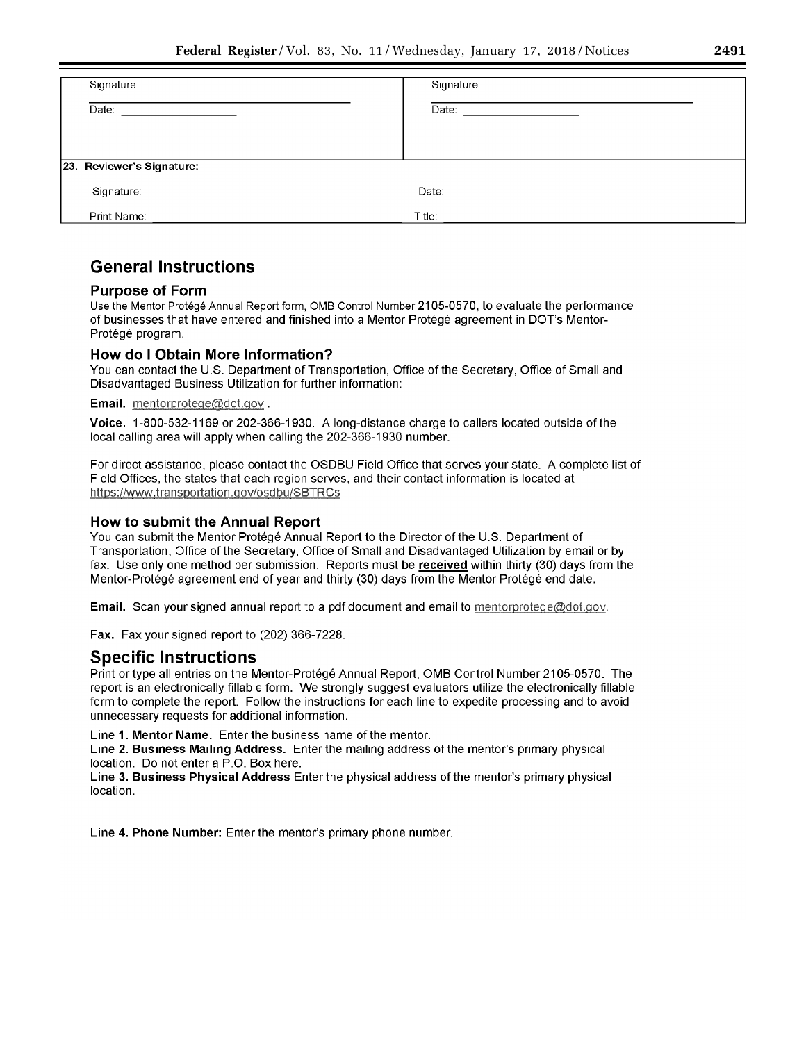| Signature:                                               | Signature:                    |
|----------------------------------------------------------|-------------------------------|
| Date:<br>the contract of the contract of the contract of | Date: _______________________ |
|                                                          |                               |
|                                                          |                               |
| 23. Reviewer's Signature:                                |                               |
| Signature:                                               | Date:                         |
| Print Name:                                              | Title:                        |

# General Instructions

# Purpose of Form

Use the Mentor Protege Annual Report form, OMB Control Number 2105-0570, to evaluate the performance of businesses that have entered and finished into a Mentor Protege agreement in DOT's Mentor-Protégé program.

# How do I Obtain More Information?

You can contact the U.S. Department of Transportation, Office of the Secretary, Office of Small and Disadvantaged Business Utilization for further information:

# Email. mentorprotege@dot.gov.

Voice. 1-800-532-1169 or 202-366-1930. A long-distance charge to callers located outside of the local calling area will apply when calling the 202-366-1930 number.

For direct assistance, please contact the OSDBU Field Office that serves your state. A complete list of Field Offices, the states that each region serves, and their contact information is located at https://www.transportation.gov/osdbu/SBTRCs

# How to submit the Annual Report

You can submit the Mentor Protégé Annual Report to the Director of the U.S. Department of Transportation, Office of the Secretary, Office of Small and Disadvantaged Utilization by email or by fax. Use only one method per submission. Reports must be received within thirty (30) days from the Mentor-Protege agreement end of year and thirty (30) days from the Mentor Protege end date.

Email. Scan your signed annual report to a pdf document and email to mentorprotege@dot.gov.

Fax. Fax your signed report to (202) 366-7228.

# Specific Instructions

Print or type all entries on the Mentor-Protégé Annual Report, OMB Control Number 2105-0570. The report is an electronically tillable form. We strongly suggest evaluators utilize the electronically fillable form to complete the report. Follow the instructions for each line to expedite processing and to avoid unnecessary requests for additional information.

Line 1. Mentor Name. Enter the business name of the mentor.

Line 2. Business Mailing Address. Enter the mailing address of the mentor's primary physical location. Do not enter a P.O. Box here.

Line 3. Business Physical Address Enter the physical address of the mentor's primary physical location.

Line 4. Phone Number: Enter the mentor's primary phone number.